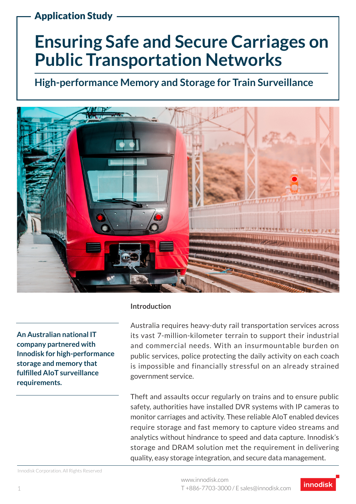Application Study

# **Ensuring Safe and Secure Carriages on Public Transportation Networks**

**High-performance Memory and Storage for Train Surveillance**



**An Australian national IT company partnered with Innodisk for high-performance storage and memory that fulfilled AIoT surveillance requirements.**

#### **Introduction**

Australia requires heavy-duty rail transportation services across its vast 7-million-kilometer terrain to support their industrial and commercial needs. With an insurmountable burden on public services, police protecting the daily activity on each coach is impossible and financially stressful on an already strained government service.

Theft and assaults occur regularly on trains and to ensure public safety, authorities have installed DVR systems with IP cameras to monitor carriages and activity. These reliable AIoT enabled devices require storage and fast memory to capture video streams and analytics without hindrance to speed and data capture. Innodisk's storage and DRAM solution met the requirement in delivering quality, easy storage integration, and secure data management.

Innodisk Corporation. All Rights Reserved



1